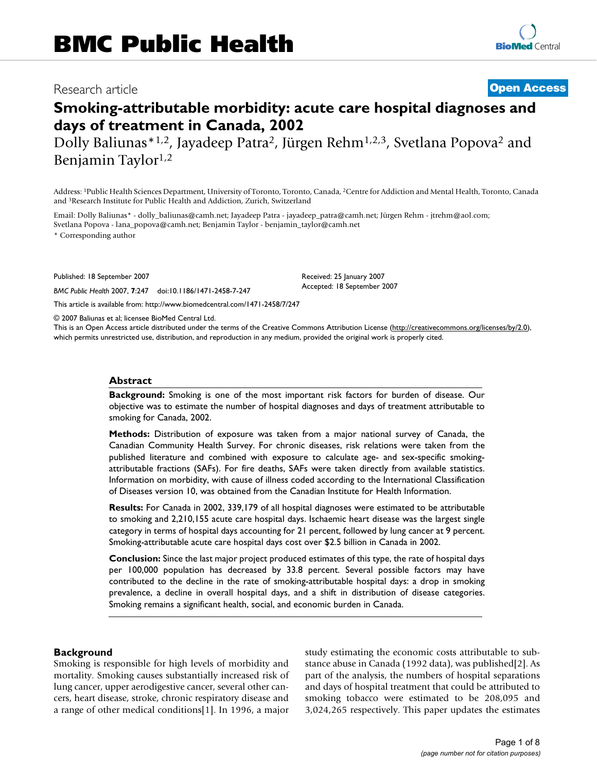# Research article **[Open Access](http://www.biomedcentral.com/info/about/charter/)**

# **Smoking-attributable morbidity: acute care hospital diagnoses and days of treatment in Canada, 2002**

Dolly Baliunas\*1,2, Jayadeep Patra2, Jürgen Rehm1,2,3, Svetlana Popova2 and Benjamin Taylor<sup>1,2</sup>

Address: 1Public Health Sciences Department, University of Toronto, Toronto, Canada, 2Centre for Addiction and Mental Health, Toronto, Canada and 3Research Institute for Public Health and Addiction, Zurich, Switzerland

Email: Dolly Baliunas\* - dolly\_baliunas@camh.net; Jayadeep Patra - jayadeep\_patra@camh.net; Jürgen Rehm - jtrehm@aol.com; Svetlana Popova - lana\_popova@camh.net; Benjamin Taylor - benjamin\_taylor@camh.net

\* Corresponding author

Published: 18 September 2007

*BMC Public Health* 2007, **7**:247 doi:10.1186/1471-2458-7-247

[This article is available from: http://www.biomedcentral.com/1471-2458/7/247](http://www.biomedcentral.com/1471-2458/7/247)

© 2007 Baliunas et al; licensee BioMed Central Ltd.

This is an Open Access article distributed under the terms of the Creative Commons Attribution License [\(http://creativecommons.org/licenses/by/2.0\)](http://creativecommons.org/licenses/by/2.0), which permits unrestricted use, distribution, and reproduction in any medium, provided the original work is properly cited.

Received: 25 January 2007 Accepted: 18 September 2007

#### **Abstract**

**Background:** Smoking is one of the most important risk factors for burden of disease. Our objective was to estimate the number of hospital diagnoses and days of treatment attributable to smoking for Canada, 2002.

**Methods:** Distribution of exposure was taken from a major national survey of Canada, the Canadian Community Health Survey. For chronic diseases, risk relations were taken from the published literature and combined with exposure to calculate age- and sex-specific smokingattributable fractions (SAFs). For fire deaths, SAFs were taken directly from available statistics. Information on morbidity, with cause of illness coded according to the International Classification of Diseases version 10, was obtained from the Canadian Institute for Health Information.

**Results:** For Canada in 2002, 339,179 of all hospital diagnoses were estimated to be attributable to smoking and 2,210,155 acute care hospital days. Ischaemic heart disease was the largest single category in terms of hospital days accounting for 21 percent, followed by lung cancer at 9 percent. Smoking-attributable acute care hospital days cost over \$2.5 billion in Canada in 2002.

**Conclusion:** Since the last major project produced estimates of this type, the rate of hospital days per 100,000 population has decreased by 33.8 percent. Several possible factors may have contributed to the decline in the rate of smoking-attributable hospital days: a drop in smoking prevalence, a decline in overall hospital days, and a shift in distribution of disease categories. Smoking remains a significant health, social, and economic burden in Canada.

#### **Background**

Smoking is responsible for high levels of morbidity and mortality. Smoking causes substantially increased risk of lung cancer, upper aerodigestive cancer, several other cancers, heart disease, stroke, chronic respiratory disease and a range of other medical conditions[1]. In 1996, a major study estimating the economic costs attributable to substance abuse in Canada (1992 data), was published[2]. As part of the analysis, the numbers of hospital separations and days of hospital treatment that could be attributed to smoking tobacco were estimated to be 208,095 and 3,024,265 respectively. This paper updates the estimates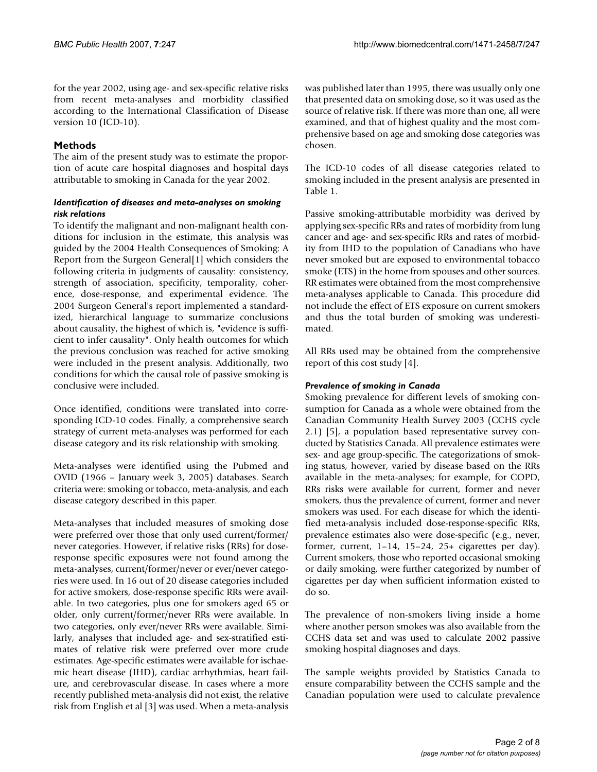for the year 2002, using age- and sex-specific relative risks from recent meta-analyses and morbidity classified according to the International Classification of Disease version 10 (ICD-10).

### **Methods**

The aim of the present study was to estimate the proportion of acute care hospital diagnoses and hospital days attributable to smoking in Canada for the year 2002.

### *Identification of diseases and meta-analyses on smoking risk relations*

To identify the malignant and non-malignant health conditions for inclusion in the estimate, this analysis was guided by the 2004 Health Consequences of Smoking: A Report from the Surgeon General[1] which considers the following criteria in judgments of causality: consistency, strength of association, specificity, temporality, coherence, dose-response, and experimental evidence. The 2004 Surgeon General's report implemented a standardized, hierarchical language to summarize conclusions about causality, the highest of which is, "evidence is sufficient to infer causality". Only health outcomes for which the previous conclusion was reached for active smoking were included in the present analysis. Additionally, two conditions for which the causal role of passive smoking is conclusive were included.

Once identified, conditions were translated into corresponding ICD-10 codes. Finally, a comprehensive search strategy of current meta-analyses was performed for each disease category and its risk relationship with smoking.

Meta-analyses were identified using the Pubmed and OVID (1966 – January week 3, 2005) databases. Search criteria were: smoking or tobacco, meta-analysis, and each disease category described in this paper.

Meta-analyses that included measures of smoking dose were preferred over those that only used current/former/ never categories. However, if relative risks (RRs) for doseresponse specific exposures were not found among the meta-analyses, current/former/never or ever/never categories were used. In 16 out of 20 disease categories included for active smokers, dose-response specific RRs were available. In two categories, plus one for smokers aged 65 or older, only current/former/never RRs were available. In two categories, only ever/never RRs were available. Similarly, analyses that included age- and sex-stratified estimates of relative risk were preferred over more crude estimates. Age-specific estimates were available for ischaemic heart disease (IHD), cardiac arrhythmias, heart failure, and cerebrovascular disease. In cases where a more recently published meta-analysis did not exist, the relative risk from English et al [3] was used. When a meta-analysis

was published later than 1995, there was usually only one that presented data on smoking dose, so it was used as the source of relative risk. If there was more than one, all were examined, and that of highest quality and the most comprehensive based on age and smoking dose categories was chosen.

The ICD-10 codes of all disease categories related to smoking included in the present analysis are presented in Table 1.

Passive smoking-attributable morbidity was derived by applying sex-specific RRs and rates of morbidity from lung cancer and age- and sex-specific RRs and rates of morbidity from IHD to the population of Canadians who have never smoked but are exposed to environmental tobacco smoke (ETS) in the home from spouses and other sources. RR estimates were obtained from the most comprehensive meta-analyses applicable to Canada. This procedure did not include the effect of ETS exposure on current smokers and thus the total burden of smoking was underestimated.

All RRs used may be obtained from the comprehensive report of this cost study [4].

### *Prevalence of smoking in Canada*

Smoking prevalence for different levels of smoking consumption for Canada as a whole were obtained from the Canadian Community Health Survey 2003 (CCHS cycle 2.1) [5], a population based representative survey conducted by Statistics Canada. All prevalence estimates were sex- and age group-specific. The categorizations of smoking status, however, varied by disease based on the RRs available in the meta-analyses; for example, for COPD, RRs risks were available for current, former and never smokers, thus the prevalence of current, former and never smokers was used. For each disease for which the identified meta-analysis included dose-response-specific RRs, prevalence estimates also were dose-specific (e.g., never, former, current, 1–14, 15–24, 25+ cigarettes per day). Current smokers, those who reported occasional smoking or daily smoking, were further categorized by number of cigarettes per day when sufficient information existed to do so.

The prevalence of non-smokers living inside a home where another person smokes was also available from the CCHS data set and was used to calculate 2002 passive smoking hospital diagnoses and days.

The sample weights provided by Statistics Canada to ensure comparability between the CCHS sample and the Canadian population were used to calculate prevalence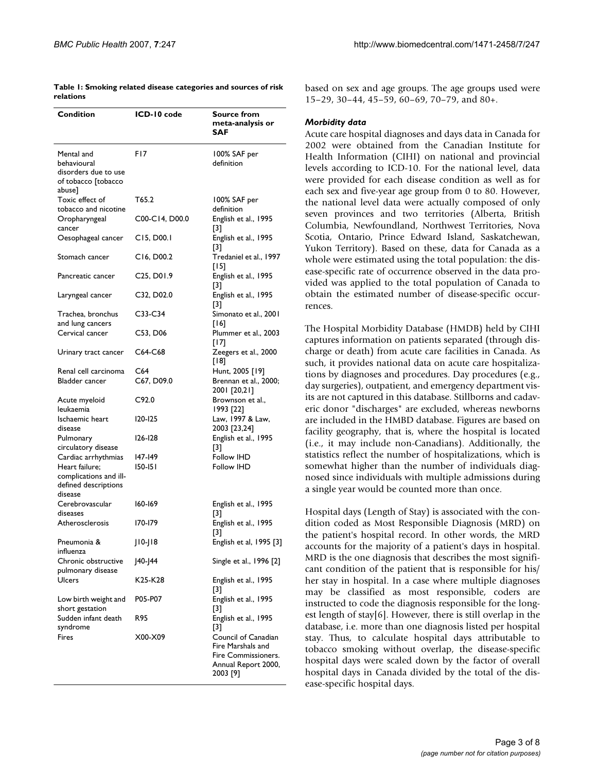| Table 1: Smoking related disease categories and sources of risk |  |
|-----------------------------------------------------------------|--|
| relations                                                       |  |

| Condition                                                                          | ICD-10 code                         | Source from<br>meta-analysis or<br>SAF                                                             |
|------------------------------------------------------------------------------------|-------------------------------------|----------------------------------------------------------------------------------------------------|
| Mental and<br>behavioural<br>disorders due to use<br>of tobacco [tobacco<br>abuse] | FI7                                 | 100% SAF per<br>definition                                                                         |
| Toxic effect of<br>tobacco and nicotine                                            | T65.2                               | 100% SAF per<br>definition                                                                         |
| Oropharyngeal<br>cancer                                                            | C00-C14, D00.0                      | English et al., 1995<br>[3]                                                                        |
| Oesophageal cancer                                                                 | C15, D00.1                          | English et al., 1995<br>[3]                                                                        |
| Stomach cancer                                                                     | C16, D00.2                          | Tredaniel et al., 1997<br>[15]                                                                     |
| Pancreatic cancer                                                                  | C <sub>25</sub> , D <sub>01.9</sub> | English et al., 1995<br>[3]                                                                        |
| Laryngeal cancer                                                                   | C32, D02.0                          | English et al., 1995<br>[3]                                                                        |
| Trachea, bronchus<br>and lung cancers                                              | $C33-C34$                           | Simonato et al., 2001<br>[16]                                                                      |
| Cervical cancer                                                                    | C53, D06                            | Plummer et al., 2003<br>[17]                                                                       |
| Urinary tract cancer                                                               | C64-C68                             | Zeegers et al., 2000<br>[18]                                                                       |
| Renal cell carcinoma<br>Bladder cancer                                             | C64<br>C67, D09.0                   | Hunt, 2005 [19]<br>Brennan et al., 2000;<br>2001 [20,21]                                           |
| Acute myeloid<br>leukaemia                                                         | C92.0                               | Brownson et al.,<br>1993 [22]                                                                      |
| Ischaemic heart<br>disease                                                         | 120-125                             | Law, 1997 & Law,<br>2003 [23,24]                                                                   |
| Pulmonary<br>circulatory disease                                                   | 126-128                             | English et al., 1995<br>[3]                                                                        |
| Cardiac arrhythmias                                                                | 147-149                             | Follow IHD                                                                                         |
| Heart failure;<br>complications and ill-<br>defined descriptions<br>disease        | 150-151                             | Follow IHD                                                                                         |
| Cerebrovascular<br>diseases                                                        | 160-169                             | English et al., 1995<br>[3]                                                                        |
| Atherosclerosis                                                                    | 170-179                             | English et al., 1995<br>[3]                                                                        |
| Pneumonia &<br>influenza                                                           | J10-J18                             | English et al, 1995 [3]                                                                            |
| Chronic obstructive<br>pulmonary disease                                           | J40-J44                             | Single et al., 1996 [2]                                                                            |
| Ulcers                                                                             | K25-K28                             | English et al., 1995<br>[3]                                                                        |
| Low birth weight and<br>short gestation                                            | P05-P07                             | English et al., 1995<br>[3]                                                                        |
| Sudden infant death<br>syndrome                                                    | R95                                 | English et al., 1995<br>[3]                                                                        |
| Fires                                                                              | X00-X09                             | Council of Canadian<br>Fire Marshals and<br>Fire Commissioners.<br>Annual Report 2000,<br>2003 [9] |

based on sex and age groups. The age groups used were 15–29, 30–44, 45–59, 60–69, 70–79, and 80+.

#### *Morbidity data*

Acute care hospital diagnoses and days data in Canada for 2002 were obtained from the Canadian Institute for Health Information (CIHI) on national and provincial levels according to ICD-10. For the national level, data were provided for each disease condition as well as for each sex and five-year age group from 0 to 80. However, the national level data were actually composed of only seven provinces and two territories (Alberta, British Columbia, Newfoundland, Northwest Territories, Nova Scotia, Ontario, Prince Edward Island, Saskatchewan, Yukon Territory). Based on these, data for Canada as a whole were estimated using the total population: the disease-specific rate of occurrence observed in the data provided was applied to the total population of Canada to obtain the estimated number of disease-specific occurrences.

The Hospital Morbidity Database (HMDB) held by CIHI captures information on patients separated (through discharge or death) from acute care facilities in Canada. As such, it provides national data on acute care hospitalizations by diagnoses and procedures. Day procedures (e.g., day surgeries), outpatient, and emergency department visits are not captured in this database. Stillborns and cadaveric donor "discharges" are excluded, whereas newborns are included in the HMBD database. Figures are based on facility geography, that is, where the hospital is located (i.e., it may include non-Canadians). Additionally, the statistics reflect the number of hospitalizations, which is somewhat higher than the number of individuals diagnosed since individuals with multiple admissions during a single year would be counted more than once.

Hospital days (Length of Stay) is associated with the condition coded as Most Responsible Diagnosis (MRD) on the patient's hospital record. In other words, the MRD accounts for the majority of a patient's days in hospital. MRD is the one diagnosis that describes the most significant condition of the patient that is responsible for his/ her stay in hospital. In a case where multiple diagnoses may be classified as most responsible, coders are instructed to code the diagnosis responsible for the longest length of stay[6]. However, there is still overlap in the database, i.e. more than one diagnosis listed per hospital stay. Thus, to calculate hospital days attributable to tobacco smoking without overlap, the disease-specific hospital days were scaled down by the factor of overall hospital days in Canada divided by the total of the disease-specific hospital days.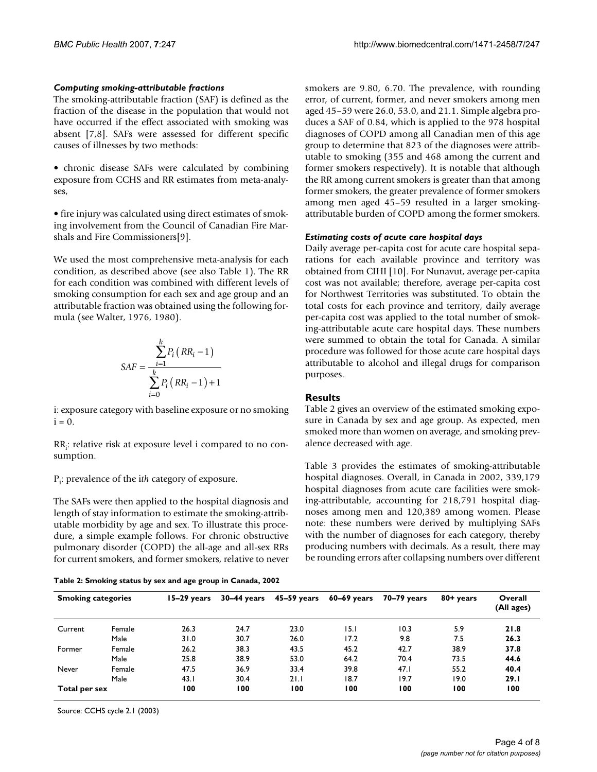### *Computing smoking-attributable fractions*

The smoking-attributable fraction (SAF) is defined as the fraction of the disease in the population that would not have occurred if the effect associated with smoking was absent [7,8]. SAFs were assessed for different specific causes of illnesses by two methods:

• chronic disease SAFs were calculated by combining exposure from CCHS and RR estimates from meta-analyses,

• fire injury was calculated using direct estimates of smoking involvement from the Council of Canadian Fire Marshals and Fire Commissioners[9].

We used the most comprehensive meta-analysis for each condition, as described above (see also Table 1). The RR for each condition was combined with different levels of smoking consumption for each sex and age group and an attributable fraction was obtained using the following formula (see Walter, 1976, 1980).

$$
SAF = \frac{\sum_{i=1}^{k} P_i (RR_i - 1)}{\sum_{i=0}^{k} P_i (RR_i - 1) + 1}
$$

i: exposure category with baseline exposure or no smoking  $i = 0$ .

RR<sub>i</sub>: relative risk at exposure level i compared to no consumption.

Pi : prevalence of the i*th* category of exposure.

The SAFs were then applied to the hospital diagnosis and length of stay information to estimate the smoking-attributable morbidity by age and sex. To illustrate this procedure, a simple example follows. For chronic obstructive pulmonary disorder (COPD) the all-age and all-sex RRs for current smokers, and former smokers, relative to never

**Table 2: Smoking status by sex and age group in Canada, 2002**

smokers are 9.80, 6.70. The prevalence, with rounding error, of current, former, and never smokers among men aged 45–59 were 26.0, 53.0, and 21.1. Simple algebra produces a SAF of 0.84, which is applied to the 978 hospital diagnoses of COPD among all Canadian men of this age group to determine that 823 of the diagnoses were attributable to smoking (355 and 468 among the current and former smokers respectively). It is notable that although the RR among current smokers is greater than that among former smokers, the greater prevalence of former smokers among men aged 45–59 resulted in a larger smokingattributable burden of COPD among the former smokers.

# *Estimating costs of acute care hospital days*

Daily average per-capita cost for acute care hospital separations for each available province and territory was obtained from CIHI [10]. For Nunavut, average per-capita cost was not available; therefore, average per-capita cost for Northwest Territories was substituted. To obtain the total costs for each province and territory, daily average per-capita cost was applied to the total number of smoking-attributable acute care hospital days. These numbers were summed to obtain the total for Canada. A similar procedure was followed for those acute care hospital days attributable to alcohol and illegal drugs for comparison purposes.

### **Results**

Table 2 gives an overview of the estimated smoking exposure in Canada by sex and age group. As expected, men smoked more than women on average, and smoking prevalence decreased with age.

Table 3 provides the estimates of smoking-attributable hospital diagnoses. Overall, in Canada in 2002, 339,179 hospital diagnoses from acute care facilities were smoking-attributable, accounting for 218,791 hospital diagnoses among men and 120,389 among women. Please note: these numbers were derived by multiplying SAFs with the number of diagnoses for each category, thereby producing numbers with decimals. As a result, there may be rounding errors after collapsing numbers over different

| <b>Smoking categories</b> |        | $15-29$ years | $30-44$ years | 45–59 years | $60-69$ years | $70-79$ years | 80+ years | Overall<br>(All ages) |
|---------------------------|--------|---------------|---------------|-------------|---------------|---------------|-----------|-----------------------|
| Current                   | Female | 26.3          | 24.7          | 23.0        | 15.1          | 10.3          | 5.9       | 21.8                  |
|                           | Male   | 31.0          | 30.7          | 26.0        | 17.2          | 9.8           | 7.5       | 26.3                  |
| Former                    | Female | 26.2          | 38.3          | 43.5        | 45.2          | 42.7          | 38.9      | 37.8                  |
|                           | Male   | 25.8          | 38.9          | 53.0        | 64.2          | 70.4          | 73.5      | 44.6                  |
| Never                     | Female | 47.5          | 36.9          | 33.4        | 39.8          | 47.1          | 55.2      | 40.4                  |
|                           | Male   | 43.1          | 30.4          | 21.1        | 18.7          | 19.7          | 19.0      | 29.1                  |
| Total per sex             |        | 100           | 100           | 100         | 100           | 100           | 100       | 100                   |

Source: CCHS cycle 2.1 (2003)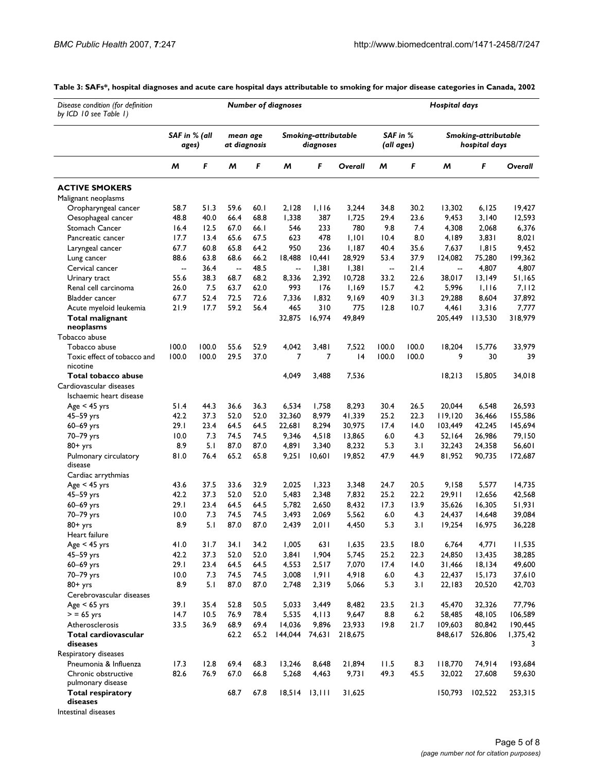| Disease condition (for definition<br>by ICD 10 see Table 1) |                        |       |                          | <b>Number of diagnoses</b> |                          |                                   |         |                          | <b>Hospital days</b>   |         |                                       |          |  |
|-------------------------------------------------------------|------------------------|-------|--------------------------|----------------------------|--------------------------|-----------------------------------|---------|--------------------------|------------------------|---------|---------------------------------------|----------|--|
|                                                             | SAF in % (all<br>ages) |       | mean age<br>at diagnosis |                            |                          | Smoking-attributable<br>diagnoses |         |                          | SAF in %<br>(all ages) |         | Smoking-attributable<br>hospital days |          |  |
|                                                             | M                      | F     | м                        | F                          | м                        | F                                 | Overall | м                        | F                      | м       | F                                     | Overall  |  |
| <b>ACTIVE SMOKERS</b>                                       |                        |       |                          |                            |                          |                                   |         |                          |                        |         |                                       |          |  |
| Malignant neoplasms                                         |                        |       |                          |                            |                          |                                   |         |                          |                        |         |                                       |          |  |
| Oropharyngeal cancer                                        | 58.7                   | 51.3  | 59.6                     | 60.1                       | 2,128                    | 1,116                             | 3,244   | 34.8                     | 30.2                   | 13,302  | 6,125                                 | 19,427   |  |
| Oesophageal cancer                                          | 48.8                   | 40.0  | 66.4                     | 68.8                       | 1,338                    | 387                               | 1,725   | 29.4                     | 23.6                   | 9,453   | 3,140                                 | 12,593   |  |
| Stomach Cancer                                              | 16.4                   | 12.5  | 67.0                     | 66.I                       | 546                      | 233                               | 780     | 9.8                      | 7.4                    | 4,308   | 2,068                                 | 6,376    |  |
| Pancreatic cancer                                           | 17.7                   | 13.4  | 65.6                     | 67.5                       | 623                      | 478                               | 1,101   | 10.4                     | 8.0                    | 4,189   | 3,831                                 | 8,021    |  |
| Laryngeal cancer                                            | 67.7                   | 60.8  | 65.8                     | 64.2                       | 950                      | 236                               | 1,187   | 40.4                     | 35.6                   | 7,637   | 1,815                                 | 9,452    |  |
| Lung cancer                                                 | 88.6                   | 63.8  | 68.6                     | 66.2                       | 18,488                   | 10,441                            | 28,929  | 53.4                     | 37.9                   | 124,082 | 75,280                                | 199,362  |  |
| Cervical cancer                                             | Ξ.                     | 36.4  | $\overline{\phantom{a}}$ | 48.5                       | $\overline{\phantom{a}}$ | 1,381                             | 1,381   | $\overline{\phantom{a}}$ | 21.4                   | Ξ.      | 4,807                                 | 4,807    |  |
| Urinary tract                                               | 55.6                   | 38.3  | 68.7                     | 68.2                       | 8,336                    | 2,392                             | 10,728  | 33.2                     | 22.6                   | 38,017  | 13,149                                | 51,165   |  |
| Renal cell carcinoma                                        | 26.0                   | 7.5   | 63.7                     | 62.0                       | 993                      | 176                               | 1,169   | 15.7                     | 4.2                    | 5,996   | 1,116                                 | 7,112    |  |
| Bladder cancer                                              | 67.7                   | 52.4  | 72.5                     | 72.6                       | 7,336                    | 1,832                             | 9,169   | 40.9                     | 31.3                   | 29,288  | 8,604                                 | 37,892   |  |
| Acute myeloid leukemia                                      | 21.9                   | 17.7  | 59.2                     | 56.4                       | 465                      | 310                               | 775     | 12.8                     | 10.7                   | 4,461   | 3,316                                 | 7,777    |  |
| <b>Total malignant</b>                                      |                        |       |                          |                            | 32,875                   | 16,974                            | 49,849  |                          |                        | 205,449 | 113,530                               | 318,979  |  |
| neoplasms                                                   |                        |       |                          |                            |                          |                                   |         |                          |                        |         |                                       |          |  |
| Tobacco abuse                                               |                        |       |                          |                            |                          |                                   |         |                          |                        |         |                                       |          |  |
| Tobacco abuse                                               | 100.0                  | 100.0 | 55.6                     | 52.9                       | 4,042                    | 3.481                             | 7,522   | 100.0                    | 100.0                  | 18,204  | 15.776                                | 33,979   |  |
| Toxic effect of tobacco and                                 | 100.0                  | 100.0 | 29.5                     | 37.0                       | 7                        | 7                                 | 4       | 100.0                    | 100.0                  | 9       | 30                                    | 39       |  |
| nicotine                                                    |                        |       |                          |                            |                          |                                   |         |                          |                        |         |                                       |          |  |
| Total tobacco abuse                                         |                        |       |                          |                            | 4,049                    | 3,488                             | 7,536   |                          |                        | 18,213  | 15,805                                | 34,018   |  |
| Cardiovascular diseases                                     |                        |       |                          |                            |                          |                                   |         |                          |                        |         |                                       |          |  |
| Ischaemic heart disease                                     |                        |       |                          |                            |                          |                                   |         |                          |                        |         |                                       |          |  |
| $Age < 45$ yrs                                              | 51.4                   | 44.3  | 36.6                     | 36.3                       | 6,534                    | 1,758                             | 8,293   | 30.4                     | 26.5                   | 20,044  | 6,548                                 | 26,593   |  |
| $45 - 59$ yrs                                               | 42.2                   | 37.3  | 52.0                     | 52.0                       | 32,360                   | 8,979                             | 41,339  | 25.2                     | 22.3                   | 119,120 | 36,466                                | 155,586  |  |
| 60-69 yrs                                                   | 29.1                   | 23.4  | 64.5                     | 64.5                       | 22,681                   | 8,294                             | 30,975  | 17.4                     | 14.0                   | 103,449 | 42,245                                | 145,694  |  |
| 70-79 yrs                                                   | 10.0                   | 7.3   | 74.5                     | 74.5                       | 9,346                    | 4,518                             | 13,865  | 6.0                      | 4.3                    | 52,164  | 26,986                                | 79,150   |  |
| $80+$ yrs                                                   | 8.9                    | 5.1   | 87.0                     | 87.0                       | 4,891                    | 3,340                             | 8,232   | 5.3                      | 3.1                    | 32,243  | 24,358                                | 56,601   |  |
| Pulmonary circulatory<br>disease                            | 81.0                   | 76.4  | 65.2                     | 65.8                       | 9,251                    | 10,601                            | 19,852  | 47.9                     | 44.9                   | 81,952  | 90,735                                | 172,687  |  |
| Cardiac arrythmias                                          |                        |       |                          |                            |                          |                                   |         |                          |                        |         |                                       |          |  |
| Age $<$ 45 yrs                                              | 43.6                   | 37.5  | 33.6                     | 32.9                       | 2,025                    | 1,323                             | 3,348   | 24.7                     | 20.5                   | 9,158   | 5,577                                 | 14,735   |  |
| $45-59$ yrs                                                 | 42.2                   | 37.3  | 52.0                     | 52.0                       | 5,483                    | 2,348                             | 7,832   | 25.2                     | 22.2                   | 29,911  | 12,656                                | 42,568   |  |
| 60-69 yrs                                                   | 29.I                   | 23.4  | 64.5                     | 64.5                       | 5,782                    | 2,650                             | 8,432   | 17.3                     | 13.9                   | 35,626  | 16,305                                | 51,931   |  |
| 70-79 yrs                                                   | 10.0                   | 7.3   | 74.5                     | 74.5                       | 3,493                    | 2,069                             | 5,562   | 6.0                      | 4.3                    | 24,437  | 14,648                                | 39,084   |  |
| $80+$ yrs                                                   | 8.9                    | 5.1   | 87.0                     | 87.0                       | 2,439                    | 2,011                             | 4,450   | 5.3                      | 3.1                    | 19,254  | 16,975                                | 36,228   |  |
| Heart failure                                               |                        |       |                          |                            |                          |                                   |         |                          |                        |         |                                       |          |  |
| Age $<$ 45 yrs                                              | 41.0                   | 31.7  | 34.I                     | 34.2                       | 1,005                    | 631                               | 1,635   | 23.5                     | 18.0                   | 6,764   | 4,771                                 | 11,535   |  |
| 45-59 yrs                                                   | 42.2                   | 37.3  | 52.0                     | 52.0                       | 3,841                    | 1,904                             | 5,745   | 25.2                     | 22.3                   | 24,850  | 13,435                                | 38,285   |  |
| 60-69 yrs                                                   | 29.1                   | 23.4  | 64.5                     | 64.5                       | 4,553                    | 2,517                             | 7,070   | 17.4                     | 14.0                   | 31,466  | 18,134                                | 49,600   |  |
| 70–79 yrs                                                   | 10.0                   | 7.3   | 74.5                     | 74.5                       | 3,008                    | 1,911                             | 4,918   | 6.0                      | 4.3                    | 22,437  | 15, 173                               | 37,610   |  |
| $80+$ yrs                                                   | 8.9                    | 5.1   | 87.0                     | 87.0                       | 2,748                    | 2,319                             | 5,066   | 5.3                      | 3.1                    | 22,183  | 20,520                                | 42,703   |  |
| Cerebrovascular diseases                                    |                        |       |                          |                            |                          |                                   |         |                          |                        |         |                                       |          |  |
| Age $< 65$ yrs                                              | 39.1                   | 35.4  | 52.8                     | 50.5                       | 5,033                    | 3,449                             | 8,482   | 23.5                     | 21.3                   | 45,470  | 32,326                                | 77,796   |  |
| $>$ = 65 yrs                                                | 14.7                   | 10.5  | 76.9                     | 78.4                       | 5,535                    | 4, 113                            | 9,647   | 8.8                      | 6.2                    | 58,485  | 48,105                                | 106,589  |  |
| Atherosclerosis                                             | 33.5                   | 36.9  | 68.9                     | 69.4                       | 14,036                   | 9,896                             | 23,933  | 19.8                     | 21.7                   | 109,603 | 80,842                                | 190,445  |  |
| Total cardiovascular                                        |                        |       | 62.2                     | 65.2                       | 144,044                  | 74,631                            | 218,675 |                          |                        | 848,617 | 526,806                               | 1,375,42 |  |
| diseases                                                    |                        |       |                          |                            |                          |                                   |         |                          |                        |         |                                       | 3        |  |
| Respiratory diseases                                        |                        |       |                          |                            |                          |                                   |         |                          |                        |         |                                       |          |  |
| Pneumonia & Influenza                                       | 17.3                   | 12.8  | 69.4                     | 68.3                       | 13,246                   | 8,648                             | 21,894  | 11.5                     | 8.3                    | 118,770 | 74,914                                | 193,684  |  |
| Chronic obstructive<br>pulmonary disease                    | 82.6                   | 76.9  | 67.0                     | 66.8                       | 5,268                    | 4,463                             | 9,731   | 49.3                     | 45.5                   | 32,022  | 27,608                                | 59,630   |  |
| <b>Total respiratory</b><br>diseases                        |                        |       | 68.7                     | 67.8                       |                          | $18,514$ 13,111                   | 31,625  |                          |                        | 150,793 | 102,522                               | 253,315  |  |
| Intestinal diseases                                         |                        |       |                          |                            |                          |                                   |         |                          |                        |         |                                       |          |  |

**Table 3: SAFs\*, hospital diagnoses and acute care hospital days attributable to smoking for major disease categories in Canada, 2002**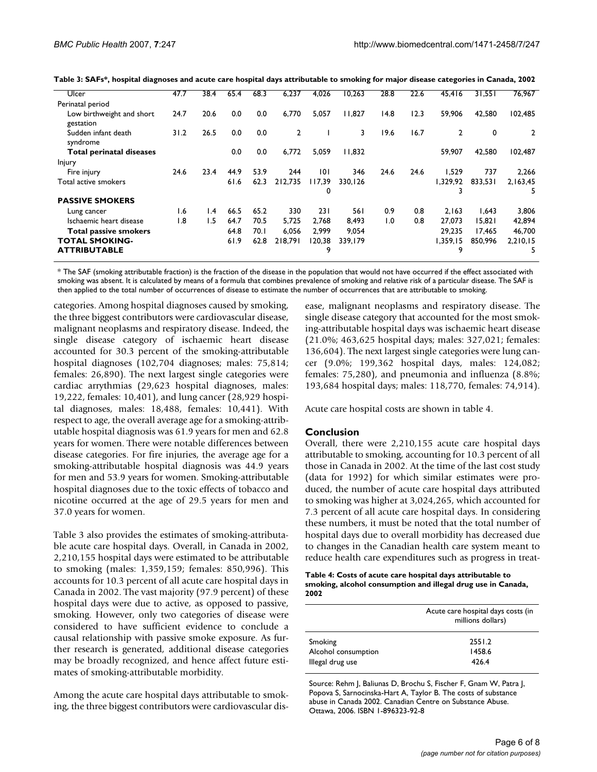| Ulcer                                  | 47.7 | 38.4            | 65.4 | 68.3 | 6,237        | 4,026       | 10,263  | 28.8 | 22.6 | 45,416         | 31,551  | 76,967         |
|----------------------------------------|------|-----------------|------|------|--------------|-------------|---------|------|------|----------------|---------|----------------|
| Perinatal period                       |      |                 |      |      |              |             |         |      |      |                |         |                |
| Low birthweight and short<br>gestation | 24.7 | 20.6            | 0.0  | 0.0  | 6.770        | 5,057       | 11.827  | 14.8 | 12.3 | 59,906         | 42,580  | 102.485        |
| Sudden infant death<br>syndrome        | 31.2 | 26.5            | 0.0  | 0.0  | $\mathbf{2}$ |             | 3       | 19.6 | 16.7 | $\overline{2}$ | 0       | $\overline{2}$ |
| <b>Total perinatal diseases</b>        |      |                 | 0.0  | 0.0  | 6,772        | 5,059       | 11,832  |      |      | 59,907         | 42,580  | 102,487        |
| Injury                                 |      |                 |      |      |              |             |         |      |      |                |         |                |
| Fire injury                            | 24.6 | 23.4            | 44.9 | 53.9 | 244          | 101         | 346     | 24.6 | 24.6 | 1,529          | 737     | 2,266          |
| Total active smokers                   |      |                 | 61.6 | 62.3 | 212,735      | 117.39<br>0 | 330.126 |      |      | 1.329.92       | 833.531 | 2,163,45<br>5  |
| <b>PASSIVE SMOKERS</b>                 |      |                 |      |      |              |             |         |      |      |                |         |                |
| Lung cancer                            | I.6  | $\mathsf{I}$ .4 | 66.5 | 65.2 | 330          | 231         | 561     | 0.9  | 0.8  | 2.163          | 1.643   | 3,806          |
| Ischaemic heart disease                | 1.8  | 1.5             | 64.7 | 70.5 | 5.725        | 2.768       | 8.493   | 1.0  | 0.8  | 27.073         | 15.821  | 42,894         |
| <b>Total passive smokers</b>           |      |                 | 64.8 | 70.I | 6.056        | 2.999       | 9.054   |      |      | 29.235         | 17,465  | 46,700         |
| <b>TOTAL SMOKING-</b>                  |      |                 | 61.9 | 62.8 | 218,791      | 120.38      | 339.179 |      |      | 1,359,15       | 850,996 | 2,210,15       |
| <b>ATTRIBUTABLE</b>                    |      |                 |      |      |              | 9           |         |      |      | 9              |         | 5              |

**Table 3: SAFs\*, hospital diagnoses and acute care hospital days attributable to smoking for major disease categories in Canada, 2002**

\* The SAF (smoking attributable fraction) is the fraction of the disease in the population that would not have occurred if the effect associated with smoking was absent. It is calculated by means of a formula that combines prevalence of smoking and relative risk of a particular disease. The SAF is then applied to the total number of occurrences of disease to estimate the number of occurrences that are attributable to smoking.

categories. Among hospital diagnoses caused by smoking, the three biggest contributors were cardiovascular disease, malignant neoplasms and respiratory disease. Indeed, the single disease category of ischaemic heart disease accounted for 30.3 percent of the smoking-attributable hospital diagnoses (102,704 diagnoses; males: 75,814; females: 26,890). The next largest single categories were cardiac arrythmias (29,623 hospital diagnoses, males: 19,222, females: 10,401), and lung cancer (28,929 hospital diagnoses, males: 18,488, females: 10,441). With respect to age, the overall average age for a smoking-attributable hospital diagnosis was 61.9 years for men and 62.8 years for women. There were notable differences between disease categories. For fire injuries, the average age for a smoking-attributable hospital diagnosis was 44.9 years for men and 53.9 years for women. Smoking-attributable hospital diagnoses due to the toxic effects of tobacco and nicotine occurred at the age of 29.5 years for men and 37.0 years for women.

Table 3 also provides the estimates of smoking-attributable acute care hospital days. Overall, in Canada in 2002, 2,210,155 hospital days were estimated to be attributable to smoking (males: 1,359,159; females: 850,996). This accounts for 10.3 percent of all acute care hospital days in Canada in 2002. The vast majority (97.9 percent) of these hospital days were due to active, as opposed to passive, smoking. However, only two categories of disease were considered to have sufficient evidence to conclude a causal relationship with passive smoke exposure. As further research is generated, additional disease categories may be broadly recognized, and hence affect future estimates of smoking-attributable morbidity.

Among the acute care hospital days attributable to smoking, the three biggest contributors were cardiovascular disease, malignant neoplasms and respiratory disease. The single disease category that accounted for the most smoking-attributable hospital days was ischaemic heart disease (21.0%; 463,625 hospital days; males: 327,021; females: 136,604). The next largest single categories were lung cancer (9.0%; 199,362 hospital days, males: 124,082; females: 75,280), and pneumonia and influenza (8.8%; 193,684 hospital days; males: 118,770, females: 74,914).

Acute care hospital costs are shown in table 4.

### **Conclusion**

Overall, there were 2,210,155 acute care hospital days attributable to smoking, accounting for 10.3 percent of all those in Canada in 2002. At the time of the last cost study (data for 1992) for which similar estimates were produced, the number of acute care hospital days attributed to smoking was higher at 3,024,265, which accounted for 7.3 percent of all acute care hospital days. In considering these numbers, it must be noted that the total number of hospital days due to overall morbidity has decreased due to changes in the Canadian health care system meant to reduce health care expenditures such as progress in treat-

**Table 4: Costs of acute care hospital days attributable to smoking, alcohol consumption and illegal drug use in Canada, 2002**

|                     | Acute care hospital days costs (in<br>millions dollars) |
|---------------------|---------------------------------------------------------|
| Smoking             | 2551.2                                                  |
| Alcohol consumption | 1458.6                                                  |
| Illegal drug use    | 426.4                                                   |

Source: Rehm J, Baliunas D, Brochu S, Fischer F, Gnam W, Patra J, Popova S, Sarnocinska-Hart A, Taylor B. The costs of substance abuse in Canada 2002. Canadian Centre on Substance Abuse. Ottawa, 2006. ISBN 1-896323-92-8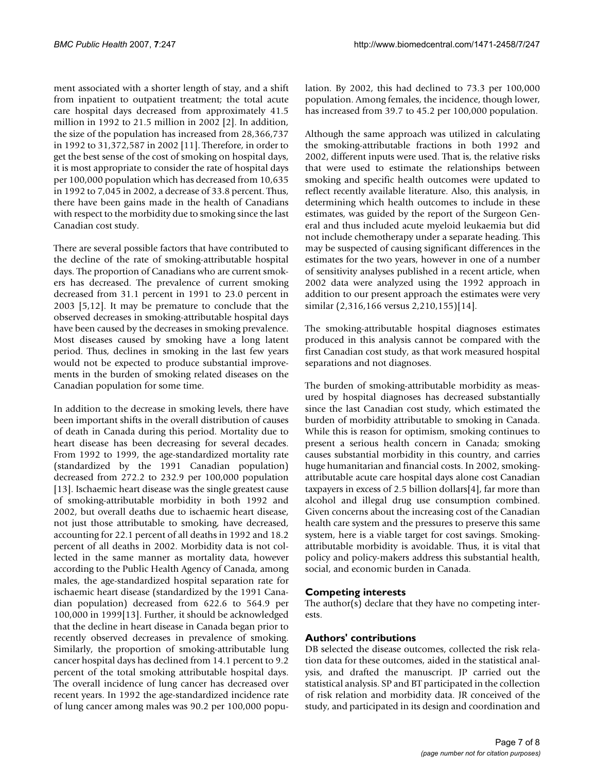ment associated with a shorter length of stay, and a shift from inpatient to outpatient treatment; the total acute care hospital days decreased from approximately 41.5 million in 1992 to 21.5 million in 2002 [2]. In addition, the size of the population has increased from 28,366,737 in 1992 to 31,372,587 in 2002 [11]. Therefore, in order to get the best sense of the cost of smoking on hospital days, it is most appropriate to consider the rate of hospital days per 100,000 population which has decreased from 10,635 in 1992 to 7,045 in 2002, a decrease of 33.8 percent. Thus, there have been gains made in the health of Canadians with respect to the morbidity due to smoking since the last Canadian cost study.

There are several possible factors that have contributed to the decline of the rate of smoking-attributable hospital days. The proportion of Canadians who are current smokers has decreased. The prevalence of current smoking decreased from 31.1 percent in 1991 to 23.0 percent in 2003 [5,12]. It may be premature to conclude that the observed decreases in smoking-attributable hospital days have been caused by the decreases in smoking prevalence. Most diseases caused by smoking have a long latent period. Thus, declines in smoking in the last few years would not be expected to produce substantial improvements in the burden of smoking related diseases on the Canadian population for some time.

In addition to the decrease in smoking levels, there have been important shifts in the overall distribution of causes of death in Canada during this period. Mortality due to heart disease has been decreasing for several decades. From 1992 to 1999, the age-standardized mortality rate (standardized by the 1991 Canadian population) decreased from 272.2 to 232.9 per 100,000 population [13]. Ischaemic heart disease was the single greatest cause of smoking-attributable morbidity in both 1992 and 2002, but overall deaths due to ischaemic heart disease, not just those attributable to smoking, have decreased, accounting for 22.1 percent of all deaths in 1992 and 18.2 percent of all deaths in 2002. Morbidity data is not collected in the same manner as mortality data, however according to the Public Health Agency of Canada, among males, the age-standardized hospital separation rate for ischaemic heart disease (standardized by the 1991 Canadian population) decreased from 622.6 to 564.9 per 100,000 in 1999[13]. Further, it should be acknowledged that the decline in heart disease in Canada began prior to recently observed decreases in prevalence of smoking. Similarly, the proportion of smoking-attributable lung cancer hospital days has declined from 14.1 percent to 9.2 percent of the total smoking attributable hospital days. The overall incidence of lung cancer has decreased over recent years. In 1992 the age-standardized incidence rate of lung cancer among males was 90.2 per 100,000 population. By 2002, this had declined to 73.3 per 100,000 population. Among females, the incidence, though lower, has increased from 39.7 to 45.2 per 100,000 population.

Although the same approach was utilized in calculating the smoking-attributable fractions in both 1992 and 2002, different inputs were used. That is, the relative risks that were used to estimate the relationships between smoking and specific health outcomes were updated to reflect recently available literature. Also, this analysis, in determining which health outcomes to include in these estimates, was guided by the report of the Surgeon General and thus included acute myeloid leukaemia but did not include chemotherapy under a separate heading. This may be suspected of causing significant differences in the estimates for the two years, however in one of a number of sensitivity analyses published in a recent article, when 2002 data were analyzed using the 1992 approach in addition to our present approach the estimates were very similar (2,316,166 versus 2,210,155)[14].

The smoking-attributable hospital diagnoses estimates produced in this analysis cannot be compared with the first Canadian cost study, as that work measured hospital separations and not diagnoses.

The burden of smoking-attributable morbidity as measured by hospital diagnoses has decreased substantially since the last Canadian cost study, which estimated the burden of morbidity attributable to smoking in Canada. While this is reason for optimism, smoking continues to present a serious health concern in Canada; smoking causes substantial morbidity in this country, and carries huge humanitarian and financial costs. In 2002, smokingattributable acute care hospital days alone cost Canadian taxpayers in excess of 2.5 billion dollars[4], far more than alcohol and illegal drug use consumption combined. Given concerns about the increasing cost of the Canadian health care system and the pressures to preserve this same system, here is a viable target for cost savings. Smokingattributable morbidity is avoidable. Thus, it is vital that policy and policy-makers address this substantial health, social, and economic burden in Canada.

# **Competing interests**

The author(s) declare that they have no competing interests.

# **Authors' contributions**

DB selected the disease outcomes, collected the risk relation data for these outcomes, aided in the statistical analysis, and drafted the manuscript. JP carried out the statistical analysis. SP and BT participated in the collection of risk relation and morbidity data. JR conceived of the study, and participated in its design and coordination and